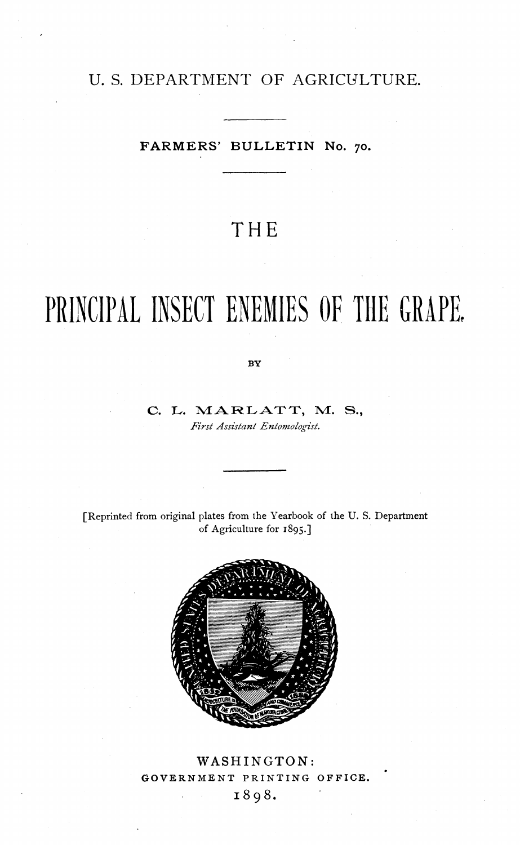### U. S. DEPARTMENT OF AGRICULTURE.

#### **FARMERS' BULLETIN No.** 70.

## **THE**

# **PRINCIPAL INSECT ENEMIES OF THE GRAPE**

BY

#### C. L. MARLATT, M. S., *Jïïrst Assistant Entomologist.*

[Reprinted from original plates from the Yearbook of the U. S. Department of Agriculture for 1895.]



WASHINGTON: GOVERNMENT PRINTING OFFICE. 1898.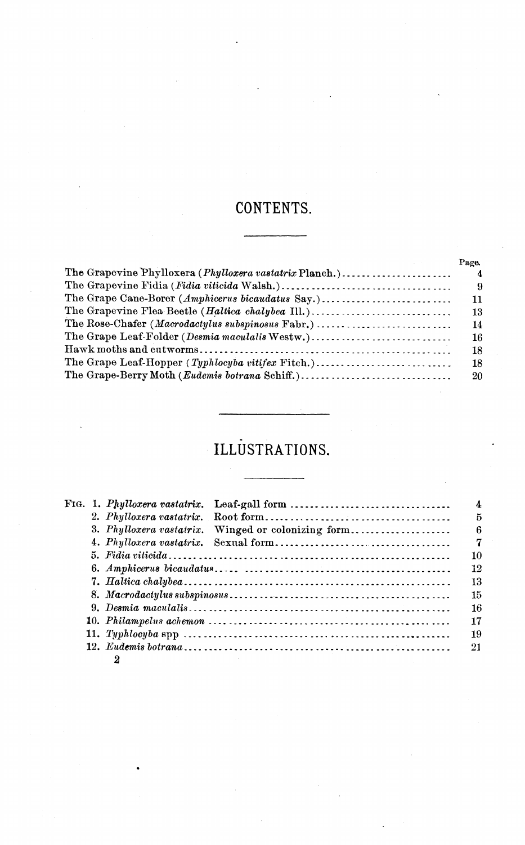## **CONTENTS.**

|                                                         | Page.          |
|---------------------------------------------------------|----------------|
| The Grapevine Phylloxera (Phylloxera vastatrix Planch.) | $\overline{4}$ |
|                                                         | - 9            |
| The Grape Cane-Borer (Amphicerus bicaudatus Say.)       | 11             |
| The Grapevine Flea Beetle (Haltica chalybea Ill.)       | 13             |
| The Rose-Chafer (Macrodactylus subspinosus Fabr.)       | 14             |
| The Grape Leaf-Folder (Desmia maculalis Westw.)         | 16             |
|                                                         | 18             |
| The Grape Leaf-Hopper (Typhlocyba vitifex Fitch.)       | 18             |
|                                                         | -20            |

# **ILLUSTRATIONS.**

|  |                                                                                                                           | FIG. 1. Phylloxera vastatrix. Leaf-gall form $\ldots \ldots \ldots \ldots \ldots \ldots \ldots \ldots$<br>$\overline{4}$ |  |  |
|--|---------------------------------------------------------------------------------------------------------------------------|--------------------------------------------------------------------------------------------------------------------------|--|--|
|  |                                                                                                                           |                                                                                                                          |  |  |
|  |                                                                                                                           | 3. Phylloxera vastatrix. Winged or colonizing form                                                                       |  |  |
|  |                                                                                                                           |                                                                                                                          |  |  |
|  |                                                                                                                           |                                                                                                                          |  |  |
|  |                                                                                                                           |                                                                                                                          |  |  |
|  |                                                                                                                           |                                                                                                                          |  |  |
|  | 8. Macrodactylus subspinosus $\ldots \ldots \ldots \ldots \ldots \ldots \ldots \ldots \ldots \ldots \ldots \ldots \ldots$ |                                                                                                                          |  |  |
|  | 16                                                                                                                        |                                                                                                                          |  |  |
|  | 17                                                                                                                        |                                                                                                                          |  |  |
|  | 19                                                                                                                        |                                                                                                                          |  |  |
|  | 21                                                                                                                        |                                                                                                                          |  |  |
|  |                                                                                                                           |                                                                                                                          |  |  |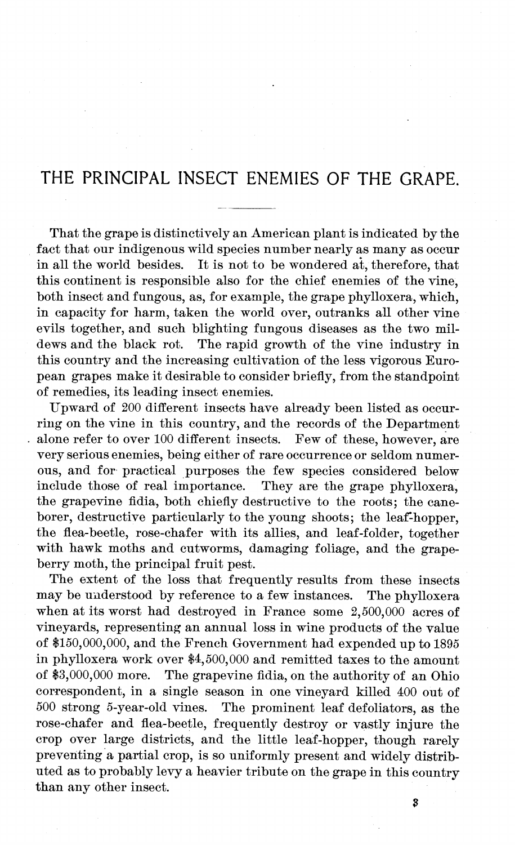## **THE PRINCIPAL INSECT ENEMIES OF THE GRAPE.**

That the grape is distinctively an American plant is indicated by the fact that our indigenous wild species number nearly as many as occur<br>in all the world besides. It is not to be wondered at therefore, that It is not to be wondered at, therefore, that this continent is responsible also for the chief enemies of the vine, both insect and fungous, as, for example, the grape phylloxera, which, in capacity for harm, taken the world over, outranks all other vine evils together, and such blighting fungous diseases as the two mildews and the black rot. The rapid growth of the vine industry in this country and the increasing cultivation of the less vigorous European grapes make it desirable to consider briefly, from the standpoint of remedies, its leading insect enemies.

Upward of 200 different insects have already been listed as occurring on the vine in this country, and the records of the Department alone refer to over 100 different insects. Few of these, however, are very serious enemies, being either of rare occurrence or seldom numerous, and for practical purposes the few species considered below<br>include those of real importance. They are the grape phylloxera. They are the grape phylloxera, the grapevine fidia, both chiefly destructive to the roots; the caneborer, destructive particularly to the young shoots; the leaf-hopper, the flea-beetle, rose-chafer with its allies, and leaf-folder, together with hawk moths and cutworms, damaging foliage, and the grapeberry moth, the principal fruit pest.

The extent of the loss that frequently results from these insects may be understood by reference to a few instances. The phylloxera when at its worst had destroyed in France some 2,500,000 acres of vineyards, representing an annual loss in wine products of the value of \$150,000,000, and the French Government had expended up to 1895 in phylloxera work over \$4,500,000 and remitted taxes to the amount of \$3,000,000 more. The grapevine fidia, on the authority of an Ohio correspondent, in a single season in one vineyard killed 400 out of 500 strong 5-year-old vines. The prominent leaf defoliators, as the The prominent leaf defoliators, as the rose-chafer and flea-beetle, frequently destroy or vastly injure the crop over large districts, and the little leaf-hopper, though rarely preventing a partial crop, is so uniformly present and widely distributed as to probably levy a heavier tribute on the grape in this country than any other insect.

3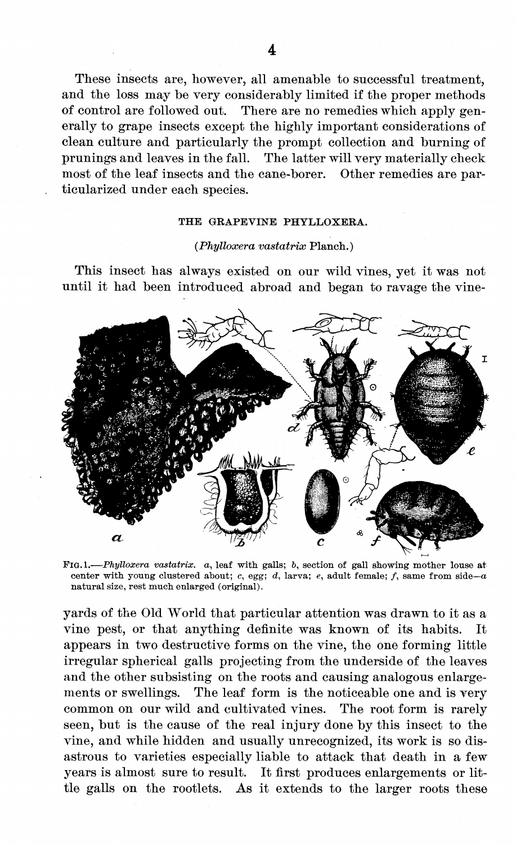These insects are, however, all amenable to successful treatment, and the loss may be very considerably limited if the proper methods of control are followed out. There are no remedies which apply gen-There are no remedies which apply generally to grape insects except the highly important considerations of clean culture and particularly the prompt collection and burning of prunings and leaves in the fall. The latter will very materially check most of the leaf insects and the cane-borer. Other remedies are particularized under each species.

#### THE GRAPEVINE PHYLLOXERA.

#### *(Phylloxera vastatirix* Planch. )

This insect has always existed on our wild vines, yet it was not until it had been introduced abroad and began to ravage the vine-



FIG.1.—*Phylloxera* vastatrix. a, leaf with galls; b, section of gall showing mother louse at center with young clustered about;  $c$ , egg;  $d$ , larva;  $e$ , adult female;  $f$ , same from side-a natural size, rest much enlarged (original).

yards of the Old World that particular attention was drawn to it as a vine pest, or that anything definite was known of its habits. It appears in two destructive forms on the vine, the one forming little irregular spherical galls projecting from the underside of the leaves and the other subsisting on the roots and causing analogous enlargements or swellings. The leaf form is the noticeable one and is very common on our wild and cultivated vines. The root form is rarely seen, but is the cause of the real injury done by this insect to the vine, and while hidden and usually unrecognized, its work is so disastrous to varieties especially liable to attack that death in a few years is almost sure to result. It first produces enlargements or little galls on the rootlets. As it extends to the larger roots these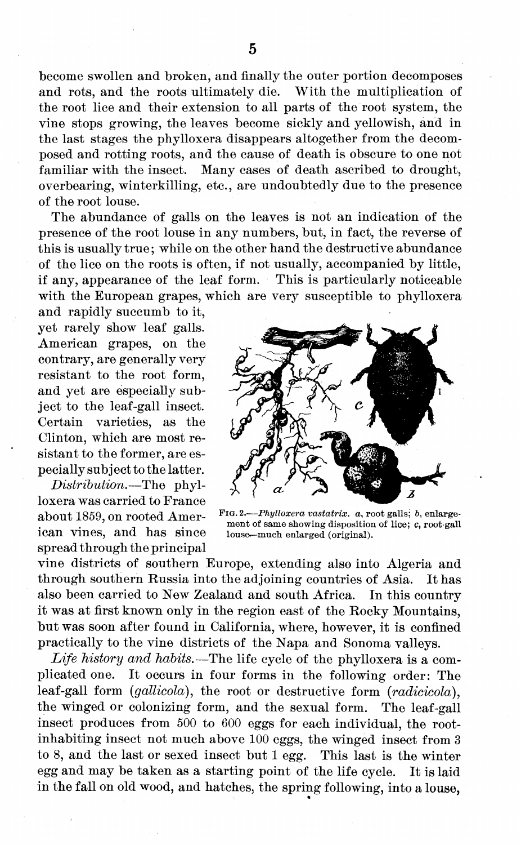become swollen and broken, and finally the outer portion decomposes and rots, and the roots ultimately die. With the multiplication of the root lice and their extension to all parts of the root system, the vine stops growing, the leaves become sickly and yellowish, and in the last stages the phylloxera disappears altogether from the decomposed and rotting roots, and the cause of death is obscure to one not familiar with the insect. Many cases of death ascribed to drought, overbearing, winterkilling, etc., are undoubtedly due to the presence of the root louse.

The abundance of galls on the leaves is not an indication of the presence of the root louse in any numbers, but, in fact, the reverse of this is usually true; while on the other hand the destructive abundance of the lice on the roots is often, if not usually, accompanied by little, if any, appearance of the leaf form. This is particularly noticeable with the European grapes, which are very susceptible to phylloxera

and rapidly succumb to it, yet rarely show leaf galls. American grapes, on the contrary, are generally very resistant to the root form, and yet are especially subject to the leaf-gall insect. Certain varieties, as the Clinton, which are most resistant to the former, are especially subject to the latter.

*Distribution,*—The phylloxera was carried to France about 1859, on rooted American vines, and has since spread through the principal



FIG. 2.—*Phylloxera vastatrix.* a, *root* galls; b, enlargement of same showing disposition of lice; c, root-gall louse»—much enlarged (original).

vine districts of southern Europe, extending also into Algeria and through southern Russia into the adjoining countries of Asia. It has also been carried to New Zealand and south Africa. In this country it was at first known only in the region east of the Rocky Mountains, but was soon after found in California, where, however, it is confined practically to the vine districts of the Napa and Sonoma valleys.

*Life history and habits.*—The life cycle of the phylloxera is a complicated one. It occurs in four forms in the following order: The leaf-gall form *(gallicola),* the root or destructive form *(radicicola),* the winged or colonizing form, and the sexual form. The leaf-gall insect produces from 500 to 600 eggs for each individual, the rootinhabiting insect not much above 100 eggs, the winged insect from <sup>3</sup> to 8, and the last or sexed insect but <sup>1</sup> egg. This last is the winter egg and may be taken as a starting point of the life cycle. It is laid in the fall on old wood, and hatches, the spring following, into a louse,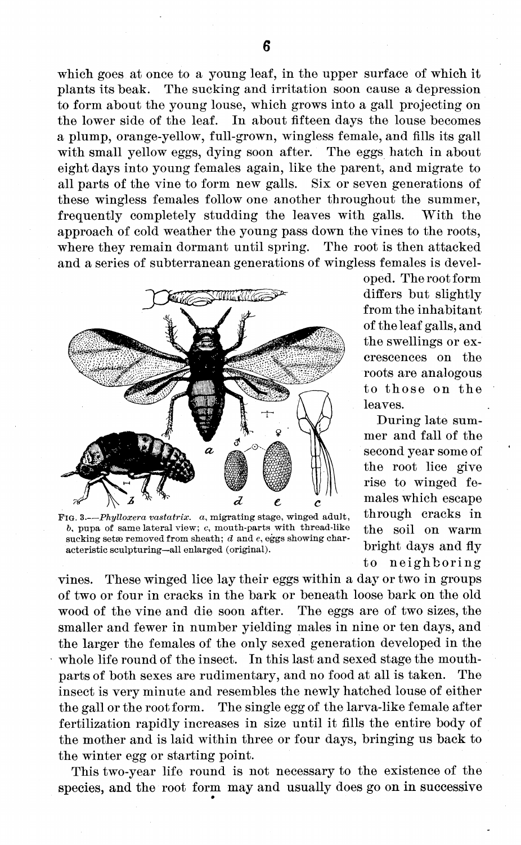which goes at once to a young leaf, in the upper surface of which it plants its beak. The sucking and irritation soon cause a depression to form about the young louse, which grows into a gall projecting on the lower side of the leaf. In about fifteen days the louse becomes a plump, orange-yellow, full-grown, wingless female, and fills its gall with small yellow eggs, dying soon after. The eggs hatch in about eight days into young females again, like the parent, and migrate to all parts of the vine to form new galls. Six or seven generations of these wingless females follow one another throughout the summer, frequently completely studding the leaves with galls. With the approach of cold weather the young pass down the vines to the roots, where they remain dormant until spring. The root is then attacked and a series of subterranean generations of wingless females is devel-



FIG. 3.—*Phylloxera vastatrix.* a, migrating stage, winged adult,  $b$ , pupa of same lateral view;  $c$ , mouth-parts with thread-like sucking setae removed from sheath; *d* and *e*, eggs showing characteristic sculpturing—all enlarged (original).

oped. The rootform differs but slightly from the inhabitant of the leaf galls, and the swellings or excrescences on the roots are analogous to those on the leaves.

During late summer and fall of the second year some of the root lice give rise to winged females which escape through cracks in the soil on warm bright days and fly to neighboring

vines. These winged lice lay their eggs within a day or two in groups of two or four in cracks in the bark or beneath loose bark on the old wood of the vine and die soon after. The eggs are of two sizes, the smaller and fewer in number yielding males in nine or ten days, and the larger the females of the only sexed generation developed in the whole life round of the insect. In this last and sexed stage the mouthparts of both sexes are rudimentary, and no food at all is taken. The insect is very minute and resembles the newly hatched louse of either the gall or the root form. The single egg of the larva-like female after fertilization rapidly increases in size until it fills the entire body of the mother and is laid within three or four days, bringing us back to the winter egg or starting point.

This two-year life round is not necessary to the existence of the species, and the root form may and usually does go on in successive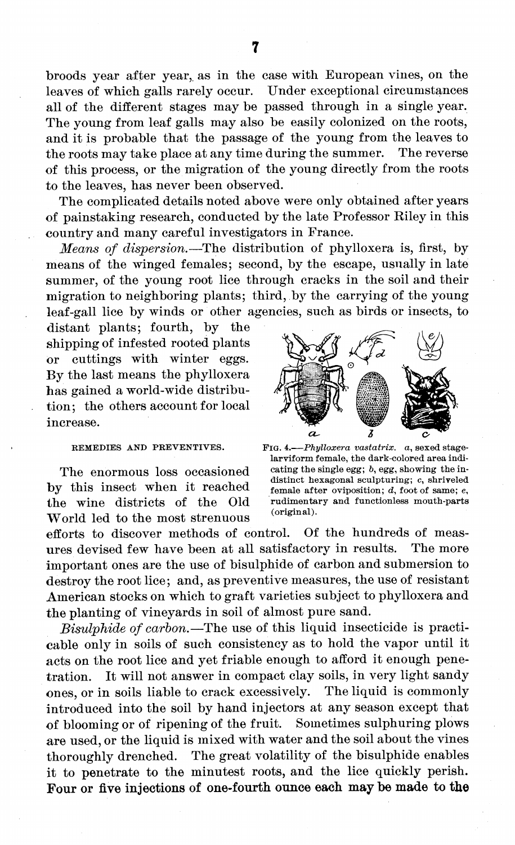broods year after year, as in the case with European vines, on the leaves of which galls rarely occur. Under exceptional circumstances all of the different stages may be passed through in a single year. The young from leaf galls may also be easily colonized on the roots, and it is probable that the passage of the young from the leaves to the roots may take place at any time during the summer. The reverse of this process, or the migration of the young directly from the roots to the leaves, has never been observed.

The complicated details noted above were only obtained after years of painstaking research, conducted by the late Professor Riley in this country and many careful investigators in France.

*Means of dispersion.*—The distribution of phylloxera is, first, by means of the winged females; second, by the escape, usually in late summer, of the young root lice through cracks in the soil and their migration to neighboring plants; third, by the carrying of the young leaf-gall lice by winds or other agencies, such as birds or insects, to

distant plants; fourth, by the shipping of infested rooted plants or cuttings with winter eggs. By the last means the phylloxera has gained a world-wide distribution; the others account for local increase.

#### REMEDIES AND PREVENTIVES.

The enormous loss occasioned by this insect when it reached the wine districts of the Old World led to the most strenuous



FIG. 4.—*Phylloxera vastatrix.* a, sexed stagelarviform female, the dark-colored area indicating the single egg; ö, egg, showing the indistinct hexagonal sculpturing; c, shriveled female after oviposition; *d,* foot of same; e, rudimentary and functionless mouth-parts (original).

efforts to discover methods of control. Of the hundreds of measures devised few have been at all satisfactory in results. The more important ones are the use of bisulphide of carbon and submersion to destroy the root lice; and, as preventive measures, the use of resistant American stocks on which to graft varieties subject to phylloxera and the planting of vineyards in soil of almost pure sand.

*Bisulphide of carbon.*—The use of this liquid insecticide is practicable only in soils of such consistency as to hold the vapor until it acts on the root lice and yet friable enough to afford it enough penetration. It will not answer in compact clay soils, in very light sandy ones, or in soils liable to crack excessively. The liquid is commonly introduced into the soil by hand injectors at any season except that of blooming or of ripening of the fruit. Sometimes sulphuring plows are used, or the liquid is mixed with water and the soil about the vines thoroughly drenched. The great volatility of the bisulphide enables it to penetrate to the minutest roots, and the lice quickly perish. **Four or five injections of one-fourth ounce each may be made to the**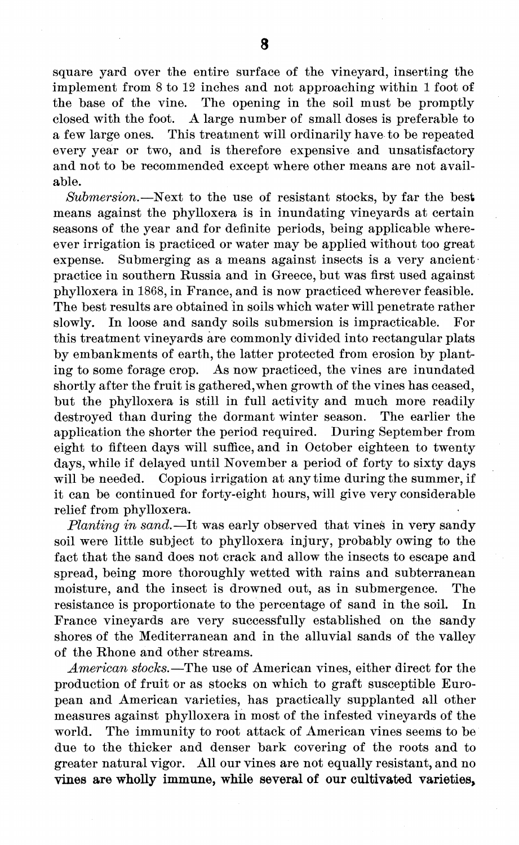square yard over the entire surface of the vineyard, inserting the implement from 8 to 12 inches and not approaching within <sup>1</sup> foot of the base of the vine. The opening in the soil must be promptly closed with the foot. A large number of small doses is preferable to a few large ones. This treatment will ordinarily have to be repeated every year or two, and is therefore expensive and unsatisfactory and not to be recommended except where other means are not available.

*Submersion.*—Next to the use of resistant stocks, by far the best means against the phylloxera is in inundating vineyards at certain seasons of the year and for definite periods, being applicable whereever irrigation is practiced or water may be applied without too great expense. Submerging as a means against insects is a very ancient practice in southern Russia and in Greece, but was first used against phylloxera in 1868, in France, and is now practiced wherever feasible. The best results are obtained in soils which water will penetrate rather slowly. In loose and sandy soils submersion is impracticable. For this treatment vineyards are commonly divided into rectangular plats by embankments of earth, the latter protected from erosion by planting to some forage crop. As now practiced, the vines are inundated shortly after the fruit is gathered,when growth of the vines has ceased, but the phylloxera is still in full activity and much more readily destroyed than during the dormant winter season. The earlier the application the shorter the period required. During September from eight to fifteen days will suffice, and in October eighteen to twenty days, while if delayed until November a period of forty to sixty days will be needed. Copious irrigation at any time during the summer, if it can be continued for forty-eight hours, will give very considerable relief from phylloxera.

*Planting in sand.*—It was early observed that vines in very sandy soil were little subject to phylloxera injury, probably owing to the fact that the sand does not crack and allow the insects to escape and spread, being more thoroughly wetted with rains and subterranean moisture, and the insect is drowned out, as in submergence. The resistance is proportionate to the percentage of sand in the soil. In France vineyards are very successfully established on the sandy shores of the Mediterranean and in the alluvial sands of the valley of the Rhone and other streams.

*American stocks.*—The use of American vines, either direct for the production of fruit or as stocks on which to graft susceptible European and American varieties, has practically supplanted all other measures against phylloxera in most of the infested vineyards of the world. The immunity to root attack of American vines seems to be due to the thicker and denser bark covering of the roots and to greater natural vigor. All our vines are not equally resistant, and no **vines are wholly immune, while several of our cultivated varieties.**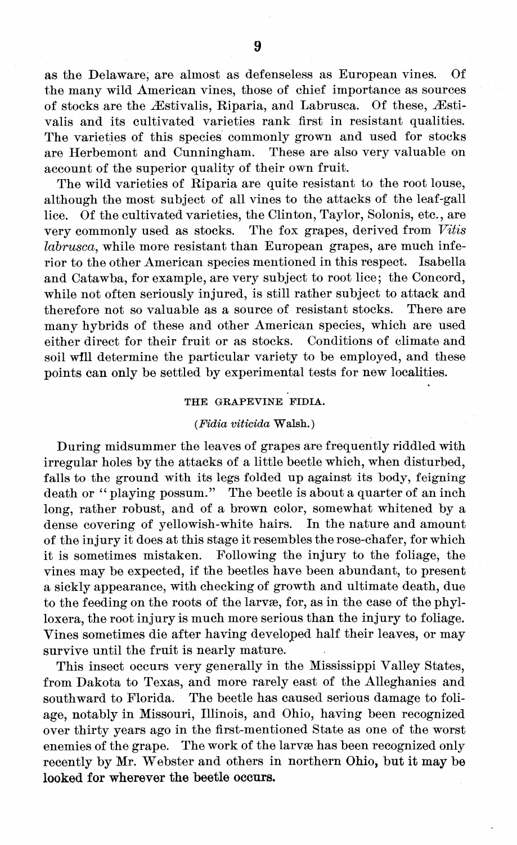as the Delaware, are almost as defenseless as European vines. Of the many wild American vines, those of chief importance as sources of stocks are the Æstivalis, Riparia, and Labrusca. Of these, Æstivalis and its cultivated varieties rank first in resistant qualities. The varieties of this species commonly grown and used for stocks are Herbemont and Cunningham. These are also very valuable on account of the superior quality of their own fruit.

The wild varieties of Riparia are quite resistant to the root louse, although the most subject of all vines to the attacks of the leaf-gall lice. Of the cultivated varieties, the Clinton, Taylor, Solonis, etc., are very commonly used as stocks. The fox grapes, derived from *Vitis labrusca,* while more resistant than European grapes, are much inferior to the other American species mentioned in this respect. Isabella and Catawba, for example, are very subject to root lice; the Concord, while not often seriously injured, is still rather subject to attack and therefore not so valuable as a source of resistant stocks. There are therefore not so valuable as a source of resistant stocks. many hybrids of these and other American species, which are used either direct for their fruit or as stocks. Conditions of climate and soil **will** determine the particular variety to be employed, and these points can only be settled by experimental tests for new localities.

#### THE GRAPEVINE FIDIA.

#### *(FidiavitieidaWaMi.)*

During midsummer the leaves of grapes are frequently riddled with irregular holes by the attacks of a little beetle which, when disturbed, falls to the ground with its legs folded up against its body, feigning death or " playing possum." The beetle is about a quarter of an inch long, rather robust, and of a brown color, somewhat whitened by a dense covering of yellowish-white hairs. In the nature and amount of the injury it does at this stage it resembles the rose-chafer, for which it is sometimes mistaken. Following the injury to the foliage, the vines may be expected, if the beetles have been abundant, to present a sickly appearance, with checking of growth and ultimate death, due to the feeding on the roots of the larvae, for, as in the case of the phylloxera, the root injury is much more serious than the injury to foliage. Vines sometimes die after having developed half their leaves, or may survive until the fruit is nearly mature.

This insect occurs very generally in the Mississippi Valley States, from Dakota to Texas, and more rarely east of the Alleghanies and southward to Florida. The beetle has caused serious damage to foliage, notably in Missouri, Illinois, and Ohio, having been recognized over thirty years ago in the first-mentioned State as one of the worst enemies of the grape. The work of the larvae has been recognized only recently by Mr. Webster and others in northern **Ohio, but it may be looked for wherever the beetle occurs.**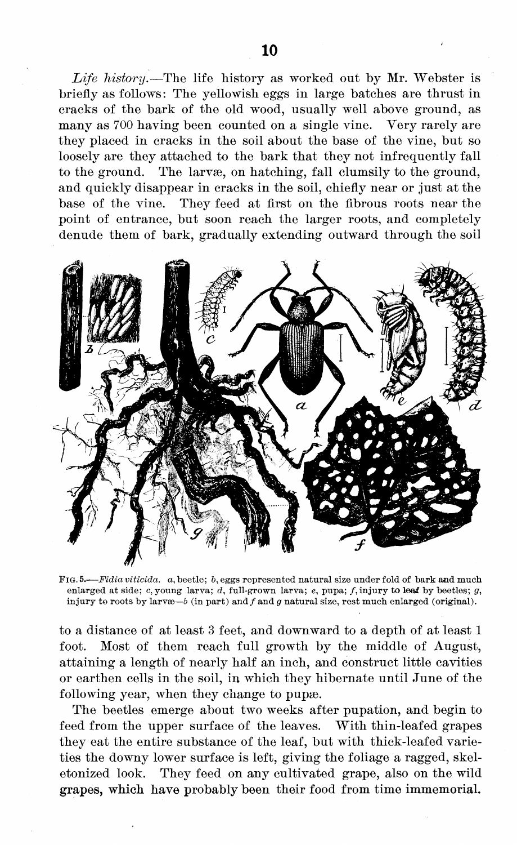*Life history.*—The life history as worked out by Mr. Webster is briefly as follows: The yellowish eggs in large batches are thrust in cracks of the bark of the old wood, usually well above ground, as many as 700 having been counted on a single vine. Yery rarely are they placed in cracks in the soil about the base of the vine, but so loosely are they attached to the bark that they not infrequently fall to the ground. The larvæ, on hatching, fall clumsily to the ground, and quickly disappear in cracks in the soil, chiefly near or just at the base of the vine. They feed at first on the fibrous roots near the point of entrance, but soon reach the larger roots, and completely denude them of bark, gradually extending outward through the soil



**FIG.** 5.—*Fidiaviticida.* a, beetle; &, eggs represented natural size under fold of bark and much enlarged at side; c, young larva; *d,* full-grown larva; e, pupa; /, injury to **leaf** by beetles; *g,* injury to roots by larv $\infty-b$  (in part) and  $f$  and  $g$  natural size, rest much enlarged (original).

to a distance of at least <sup>3</sup> feet, and downward to a depth of at least <sup>1</sup> foot. Most of them reach full growth by the middle of August, attaining a length of nearly half an inch, and construct little cavities or earthen cells in the soil, in which they hibernate until June of the following year, when they change to pupae.

The beetles emerge about two weeks after pupation, and begin to feed from the upper surface of the leaves. With thin-leafed grapes they eat the entire substance of the leaf, but with thick-leafed varieties the downy lower surface is left, giving the foliage a ragged, skeletonized look. They feed on any cultivated grape, also on the wild grapes, which have probably been their food from time immemorial.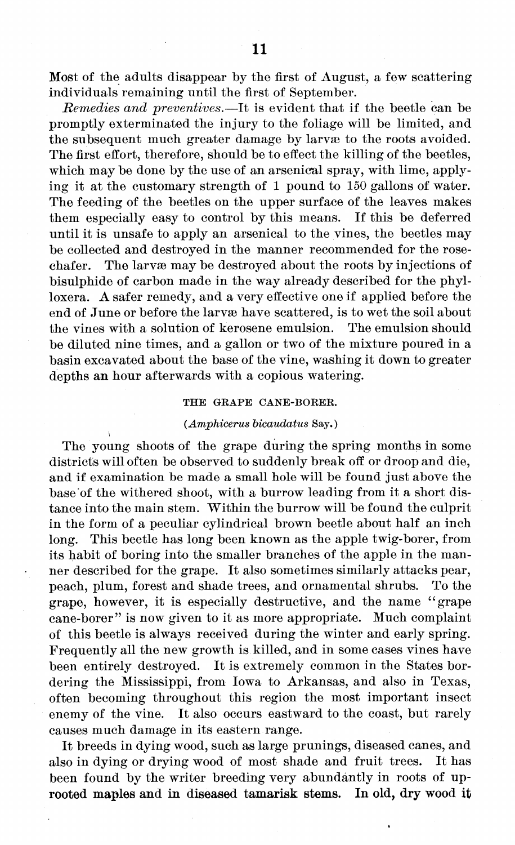Most of the adults disappear by the first of August, a few scattering individuals remaining until the first of September.

*Remedies and preventives.*—It is evident that if the beetle can be promptly exterminated the injury to the foliage will be limited, and the subsequent much greater damage by larvae to the roots avoided. The first effort, therefore, should be to effect the killing of the beetles, which may be done by the use of an arsenical spray, with lime, applying it at the customary strength of <sup>1</sup> pound to 150 gallons of water. The feeding of the beetles on the upper surface of the leaves makes them especially easy to control by this means. If this be deferred until it is unsafe to apply an arsenical to the vines, the beetles may be collected and destroyed in the manner recommended for the rosechafer. The larvæ may be destroyed about the roots by injections of bisulphide of carbon made in the way already described for the phylloxera. A safer remedy, and a very effective one if applied before the end of June or before the larvae have scattered, is to wet the soil about the vines with a solution of kerosene emulsion. The emulsion should be diluted nine times, and a gallon or two of the mixture poured in a basin excavated about the base of the vine, washing it down to greater depths an hour afterwards with a copious watering.

#### THE GRAPE CANE-BORER.

#### *(Amphicerus bicaudatus* Say. )

The young shoots of the grape during the spring months in some districts will often be observed to suddenly break off or droop and die, and if examination be made a small hole will be found just above the base of the withered shoot, with a burrow leading from it a short distance into the main stem. Within the burrow will be found the culprit in the form of a peculiar cylindrical brown beetle about half an inch long. This beetle has long been known as the apple twig-borer, from its habit of boring into the smaller branches of the apple in the manner described for the grape. It also sometimes similarly attacks pear, peach, plum, forest and shade trees, and ornamental shrubs. To the grape, however, it is especially destructive, and the name " grape cane-borer" is now given to it as more appropriate. Much complaint of this beetle is always received during the winter and early spring. Frequently all the new growth is killed, and in some cases vines have been entirely destroyed. It is extremely common in the States bordering the Mississippi, from Iowa to Arkansas, and also in Texas, often becoming throughout this region the most important insect enemy of the vine. It also occurs eastward to the coast, but rarely causes much damage in its eastern range.

It breeds in dying wood, such as large prunings, diseased canes, and also in dying or drying wood of most shade and fruit trees. It has been found by the writer breeding very abundantly in roots of up-<br>rooted maples and in diseased tamarisk stems. In old, dry wood it **rooted maples** and **in** diseased **tamarisk stems.**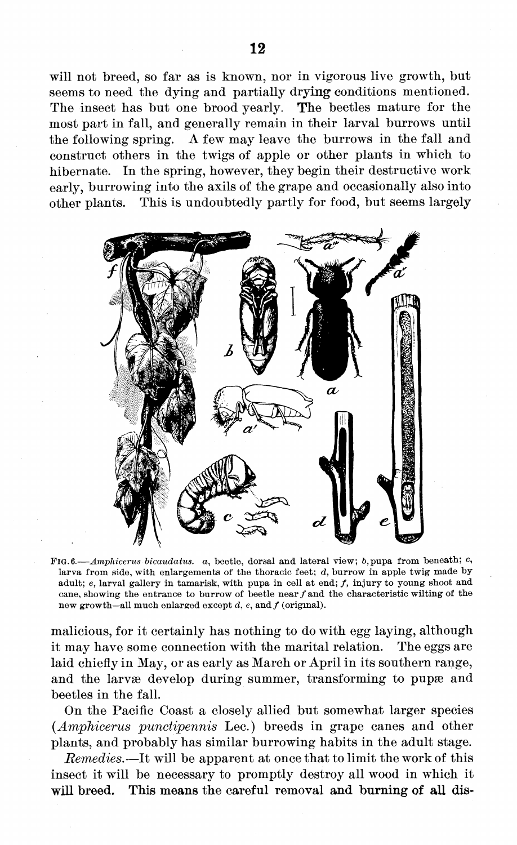will not breed, so far as is known, nor in vigorous live growth, but seems to need the dying and partially drying conditions mentioned. The insect has but one brood yearly. **The** beetles mature for the most part in fall, and generally remain in their larval burrows until the following spring. A few may leave the burrows in the fall and construct others in the twigs of apple or other plants in which to hibernate. In the spring, however, they begin their destructive work early, burrowing into the axils of the grape and occasionally also into other plants. This is undoubtedly partly for food, but seems largely



FIG. 6.—*Amphicerus bicaudatus.* a, beetle, dorsal and lateral view; *b,*pupa from beneath; c, larva from side, with enlargements of the thoracic feet; *d,* burrow in apple twig made byadult;  $e$ , larval gallery in tamarisk, with pupa in cell at end;  $f$ , injury to young shoot and cane, showing the entrance to burrow of beetle near  $f$  and the characteristic wilting of the new growth—all much enlarged except  $d$ ,  $e$ , and  $f$  (original).

malicious, for it certainly has nothing to do with egg laying, although it may have some connection with the marital relation. The eggs are laid chiefly in May, or as early as March or April in its southern range, and the larvæ develop during summer, transforming to pupae and beetles in the fall.

On the Pacific Coast a closely allied but somewhat larger species *{Amphicerus punctipennis* Lee.) breeds in grape canes and other plants, and probably has similar burrowing habits in the adult stage.

*Remedies.*—It will be apparent at once that to limit the work of this insect it will be necessary to promptly destroy all wood in which it **will breed. This means the careful removal and burning of all dis-**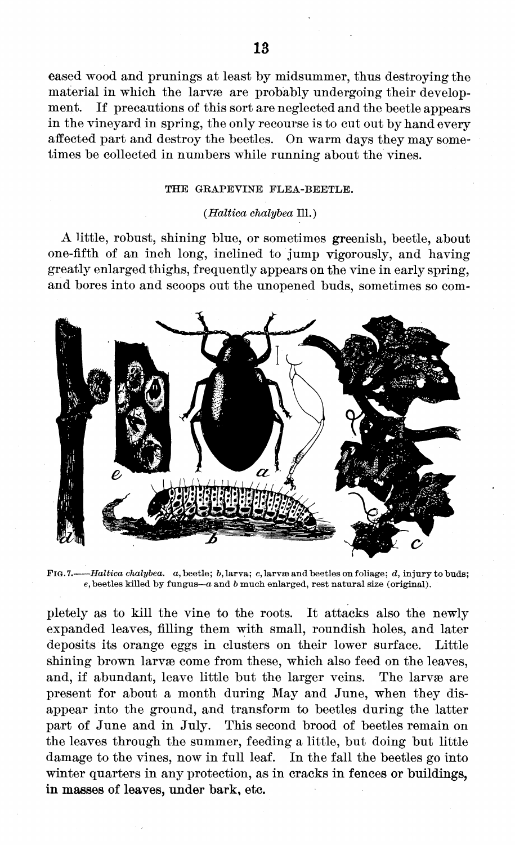eased wood and prunings at least by midsummer, thus destroying the material in which the larvæ are probably undergoing their development. If precautions of this sort are neglected and the beetle appears in the vineyard in spring, the only recourse is to cut out by hand every affected part and destroy the beetles. On warm days they may sometimes be collected in numbers while running about the vines.

#### THE GRAPEVINE FLEA-BEETLE.

#### *(Haltica chalybea* 111. )

A little, robust, shining blue, or sometimes greenish, beetle, about one-fifth of an inch long, inclined to jump vigorously, and having greatly enlarged thighs, frequently appears on the vine in early spring, and bores into and scoops out the unopened buds, sometimes so com-



FIG. 7. *Haltica chalybea. a,* beetle ; 6, larva ; c, larvae and beetles on foliage ; *d,* injury to buds; e, beetles killed by fungus—*a* and *<sup>b</sup>* much enlarged, rest natural size (original).

pletely as to kill the vine to the roots. It attacks also the newly expanded leaves, filling them with small, roundish holes, and later deposits its orange eggs in clusters on their lower surface. Little shining brown larvæ come from these, which also feed on the leaves, and, if abundant, leave little but the larger veins. The larvæ are present for about a month during May and June, when they disappear into the ground, and transform to beetles during the latter part of June and in July. This second brood of beetles remain on the leaves through the summer, feeding a little, but doing but little damage to the vines, now in full leaf. In the fall the beetles go into winter quarters in any protection, as in cracks **in** fences **or buildings, in masses of leaves, under bark,** etc.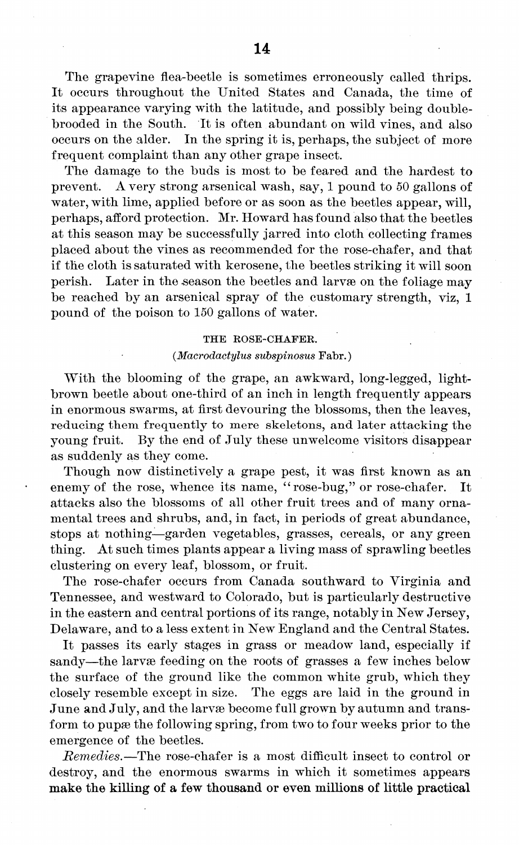The grapevine flea-beetle is sometimes erroneously called thrips. It occurs throughout the United States and Canada, the time of its appearance varying with the latitude, and possibly being doublebrooded in the South. It is often abundant on wild vines, and also occurs on the alder. In the spring it is, perhaps, the subject of more frequent complaint than any other grape insect.

The damage to the buds is most to be feared and the hardest to prevent. A very strong arsenical wash, say, <sup>1</sup> pound to 50 gallons of water, with lime, applied before or as soon as the beetles appear, will, perhaps, afford protection. Mr. Howard hasfound also that the beetles at this season may be successfully jarred into cloth collecting frames placed about the vines as recommended for the rose-chafer, and that if the cloth is saturated with kerosene, the beetles striking it will soon perish. Later in the season the beetles and larvae on the foliage may be reached by an arsenical spray of the customary strength, viz, <sup>1</sup> pound of the poison to 150 gallons of water.

#### THE ROSE-CHAFER.

#### *(Macrodactylus subspinosus* Fabr. )

With the blooming of the grape, an awkward, long-legged, lightbrown beetle about one-third of an inch in length frequently appears in enormous swarms, at first devouring the blossoms, then the leaves, reducing them frequently to mere skeletons, and later attacking the young fruit. By the end of July these unwelcome visitors disappear as suddenly as they come.

Though now distinctively a grape pest, it was first known as an enemy of the rose, whence its name, "rose-bug," or rose-chafer. It attacks also the blossoms of all other fruit trees and of many ornamental trees and shrubs, and, in fact, in periods of great abundance, stops at nothing—garden vegetables, grasses, cereals, or any green thing. At such times plants appear a living mass of sprawling beetles clustering on every leaf, blossom, or fruit.

The rose-chafer occurs from Canada southward to Virginia and Tennessee, and westward to Colorado, but is particularly destructive in the eastern and central portions of its range, notably in New Jersey, Delaware, and to a less extent in New England and the Central States.

It passes its early stages in grass or meadow land, especially if sandy—the larvæ feeding on the roots of grasses a few inches below the surface of the ground like the common white grub, which they closely resemble except in size. The eggs are laid in the ground in June and July, and the larvæ become full grown by autumn and transform to pupae the following spring, from two to four weeks prior to the emergence of the beetles.

*Remedies.—The* rose-chafer is a most difficult insect to control or destroy, and the enormous swarms in which it sometimes appears **make the killing of a few thousand or even millions of little practical**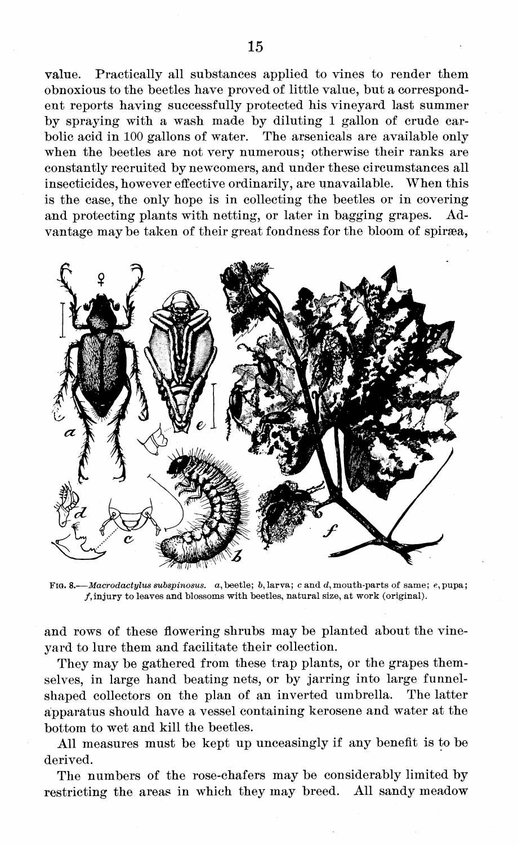value. Practically all substances applied to vines to render them obnoxious to the beetles have proved of little value, but a correspondent reports having successfully protected his vineyard last summer by spraying with a wash made by diluting <sup>1</sup> gallon of crude carbolic acid in 100 gallons of water. The arsenicals are available only when the beetles are not very numerous; otherwise their ranks are constantly recruited by newcomers, and under these circumstances all insecticides, however effective ordinarily, are unavailable. When this is the case, the only hope is in collecting the beetles or in covering and protecting plants with netting, or later in bagging grapes. Advantage may be taken of their great fondness for the bloom of spiræa,



FIG. 8.—*Macrodactylus subspinosus.* a,beetle; ö, larva; *c* and d, mouth-parts of same; e,pupa;  $f$ , injury to leaves and blossoms with beetles, natural size, at work (original).

and rows of these flowering shrubs may be planted about the vineyard to lure them and facilitate their collection.

They may be gathered from these trap plants, or the grapes themselves, in large hand beating nets, or by jarring into large funnelshaped collectors on the plan of an inverted umbrella. The latter apparatus should have a vessel containing kerosene and water at the bottom to wet and kill the beetles.

All measures must be kept up unceasingly if any benefit is to be derived.

The numbers of the rose-chafers may be considerably limited by restricting the areas in which they may breed. All sandy meadow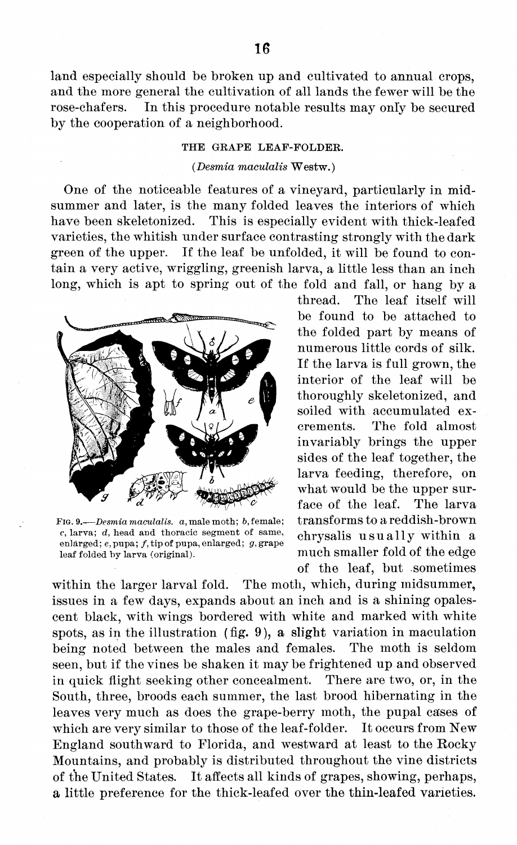land especially should be broken up and cultivated to annual crops, and the more general the cultivation of all lands the fewer will be the rose-chafers. In this procedure notable results may only be secured by the cooperation of a neighborhood.

#### THE GRAPE LEAF-FOLDER.

#### *(DesmiamaculalisWestw.)*

One of the noticeable features of a vineyard, particularly in midsummer and later, is the many folded leaves the interiors of which have been skeletonized. This is especially evident with thick-leafed varieties, the whitish under surface contrasting strongly with the dark green of the upper. If the leaf be unfolded, it will be found to contain a very active, wriggling, greenish larva, a little less than an inch long, which is apt to spring out of the fold and fall, or hang by a



FIG. 9.-—*Desmia maculalis. a,* male moth; *b,* female; *c,* larva; *d,* head and thoracic segment of same, enlarged; e, pupa; /, tip of pupa, enlarged; *g,* grape leaf folded by larva (original).

thread. The leaf itself will be found to be attached to the folded part by means of numerous little cords of silk. If the larva is full grown, the interior of the leaf will be thoroughly skeletonized, and soiled with accumulated excrements. The fold almost invariably brings the upper sides of the leaf together, the larva feeding, therefore, on what would be the upper surface of the leaf. The larva transformsto a reddish-brown chrysalis usually within a much smaller fold of the edge of the leaf, but -sometimes

within the larger larval fold. The moth, which, during midsummer, issues in a few days, expands about an inch and is à shining opalescent black, with wings bordered with white and marked with white spots, as in the illustration (fig. 9), a slight variation in maculation being noted between the males and females. The moth is seldom seen, but if the vines be shaken it may be frightened up and observed in quick flight seeking other concealment. There are two, or, in the South, three, broods each summer, the last brood hibernating in the leaves very much as does the grape-berry moth, the pupal cases of which are very similar to those of the leaf-folder. It occurs from New England southward to Florida, and westward at least to the Rocky Mountains, and probably is distributed throughout the vine districts of the United States. It affects all kinds of grapes, showing, perhaps, a little preference for the thick-leafed over the thin-leafed varieties.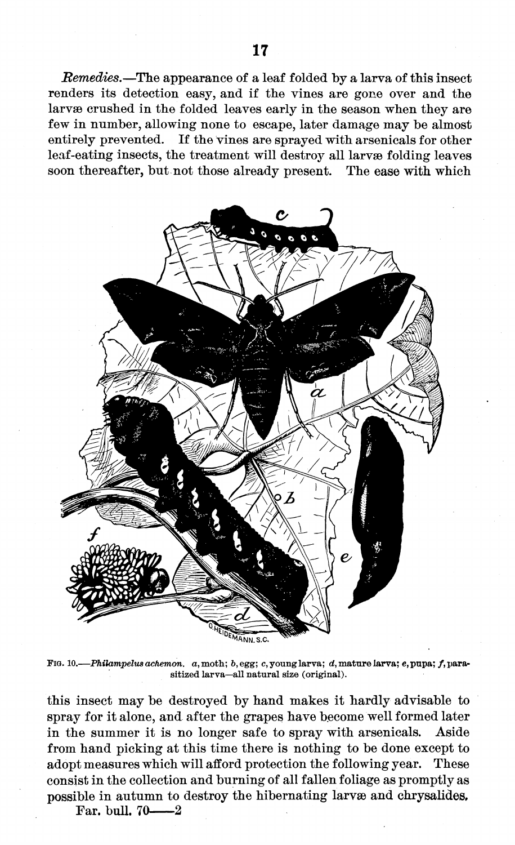*Remedies.*—The appearance of a leaf folded by a larva of this insect renders its detection easy, and if the vines are gone over and the larvæ crushed in the folded leaves early in the season when they are few in number, allowing none to escape, later damage may be almost entirely prevented. If the vines are sprayed with arsenicals for other leaf-eating insects, the treatment will destroy all larvae folding leaves soon thereafter, but not those already present. The ease with which



FIG. 10.- *-Philampelus achemon.* a, moth; *b,* egg; c, young larva; *d,* mature larva; *e,* pupa; /, parasitized larva—all natural size (original).

this insect may be destroyed by hand makes it hardly advisable to spray for it alone, and after the grapes have become well formed later in the summer it is no longer safe to spray with arsenicals. Aside from hand picking at this time there is nothing to be done except to adopt measures which will afford protection the following year. These consist in the collection and burning of all fallen foliage as promptly as possible in autumn to destroy the hibernating larvae and chrysalides.

Far. bull.  $70 - 2$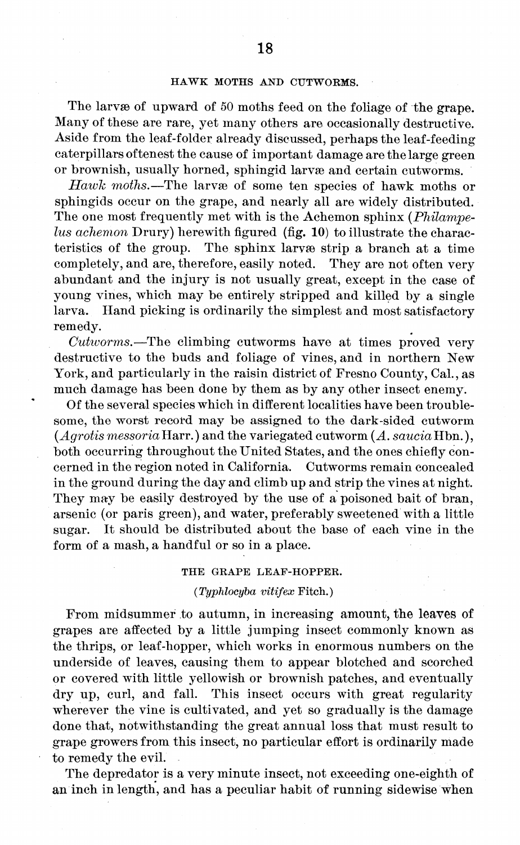#### HAWK MOTHS AND CUTWORMS.

The larvæ of upward of 50 moths feed on the foliage of the grape. Many of these are rare, yet many others are occasionally destructive. Aside from the leaf-folder already discussed, perhaps the leaf-feeding caterpillars oftenest the cause of important damage are the large green or brownish, usually horned, sphingid larvae and certain cutworms.

*Hawk moths.*—The larvae of some ten species of hawk moths or sphingids occur on the grape, and nearly all are widely distributed. The one most frequently met with is the Achemon sphinx *(Philampelus achemon* Drury) herewith figured (fig. 10) to illustrate the characteristics of the group. The sphinx larvae strip a branch at a time completely, and are, therefore, easily noted. They are not often very abundant and the injury is not usually great, except in the case of young vines, which may be entirely stripped and killed by a single larva. Hand picking is ordinarily the simplest and most satisfactory remedy.

*Cuhvorms.*—The climbing cutworms have at times proved very destructive to the buds and foliage of vines, and in northern New York, and particularly in the raisin district of Fresno County, Cal., as much damage has been done by them as by any other insect enemy.

Of the several species which in different localities have been troublesome, the worst record may be assigned to the dark-sided cutworm  $(Aqrotis mesoria\text{Harr.})$  and the variegated cutworm  $(A. saucia\text{Hbn.})$ , both occurring throughout the United States, and the ones chiefly concerned in the region noted in California. Cutworms remain concealed cerned in the region noted in California. in the ground during the day and climb up and strip the vines at night. They may be easily destroyed by the use of a poisoned bait of bran, arsenic (or paris green), and water, preferably sweetened with a little sugar. It should be distributed about the base of each vine in the form of a mash, a handful or so in a place.

#### THE GRAPE LEAF-HOPPER.

#### *(Typhlocyba vitifex* Fitch.)

From midsummer to autumn, in increasing amount, the leaves of grapes are affected by a little jumping insect commonly known as the thrips, or leaf-hopper, which works in enormous numbers on the underside of leaves, causing them to appear blotched and scorched or covered with little yellowish or brownish patches, and eventually dry up, curl, and fall. This insect occurs with great regularity wherever the vine is cultivated, and yet so gradually is the damage done that, notwithstanding the great annual loss that must result to grape growers from this insect, no particular effort is ordinarily made to remedy the evil.

The depredator is a very minute insect, not exceeding one-eighth of an inch in length, and has a peculiar habit of running sidewise when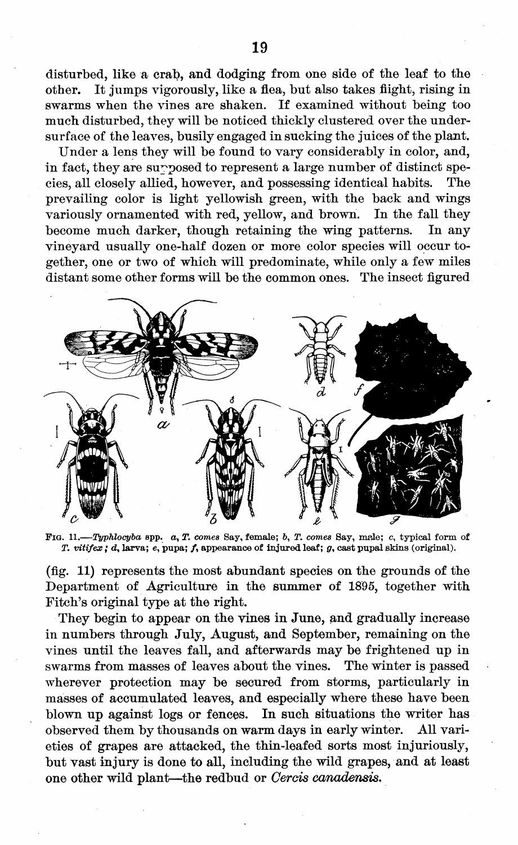disturbed, like a crab, and dodging from one side of the leaf to the other. It jumps vigorously, like a flea, but also takes flight, rising in It jumps vigorously, like a flea, but also takes flight, rising in swarms when the vines are shaken. If examined without being too much disturbed, they will be noticed thickly clustered over the undersurface of the leaves, busily engaged in sucking the juices of the plant.

Under a lens they will be found to vary considerably in color, and, in fact, they are supposed to represent a large number of distinct species, all closely allied, however, and possessing identical habits. The prevailing color is light yellowish green, with the back and wings variously ornamented with red, yellow, and brown. In the fall they become much darker, though retaining the wing patterns. In any vineyard usually one-half dozen or more color species will occur together, one or two of which will predominate, while only a few miles distant some other forms will be the common ones. The insect figured



FIG. 11.—*TypMocyba* spp. a, *T. comes* Say, female; &, *T. comes* Say, male; c, typical form of *T. vitifex ;* d, larva; e, pupa; /, appearance of injured leaf; 0, cast pupal skins (original).

(fig. 11) represents the most abundant species on the grounds of the Department of Agriculture in the summer of 1895, together with Fitch's original type at the right.

They begin to appear on the vines in June, and gradually increase in numbers through July, August, and September, remaining on the vines until the leaves fall, and afterwards may be frightened up in swarms from masses of leaves about the vines. The winter is passed wherever protection may be secured from storms, particularly in masses of accumulated leaves, and especially where these have been blown up against logs or fences. In such situations the writer has observed them by thousands on warm days in early winter. All varieties of grapes are attacked, the thin-leafed sorts most injuriously, but vast injury is done to all, including the wild grapes, and at least one other wild plant—the redbud or *Gerds canadensis.*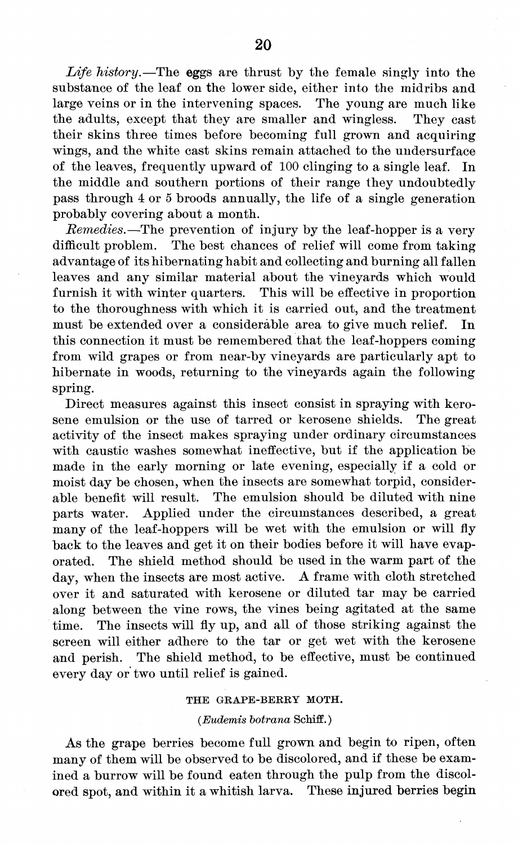*Life history.*—The eggs are thrust by the female singly into the substance of the leaf on the lower side, either into the midribs and large veins or in the intervening spaces. The young are much like the adults, except that they are smaller and wingless. They cast their skins three times before becoming full grown and acquiring wings, and the white cast skins remain attached to the undersurface of the leaves, frequently upward of 100 clinging to a single leaf. In the middle and southern portions of their range they undoubtedly pass through 4 or <sup>5</sup> broods annually, the life of a single generation probably covering about a month.

*Remedies.*—The prevention of injury by the leaf-hopper is a very difficult problem. The best chances of relief will come from taking advantage of its hibernating habit and collecting and burning all fallen leaves and any similar material about the vineyards which would furnish it with winter quarters. This will be effective in proportion to the thoroughness with which it is carried out, and the treatment must be extended over a considerable area to give much relief. In this connection it must be remembered that the leaf-hoppers coming from wild grapes or from near-by vineyards are particularly apt to hibernate in woods, returning to the vineyards again the following spring.

Direct measures against this insect consist in spraying with kerosene emulsion or the use of tarred or kerosene shields. The great activity of the insect makes spraying under ordinary circumstances with caustic washes somewhat ineffective, but if the application be made in the early morning or late evening, especially if a cold or moist day be chosen, when the insects are somewhat torpid, considerable benefit will result. The emulsion should be diluted with nine parts water. Applied under the circumstances described, a great many of the leaf-hoppers will be wet with the emulsion or will fly back to the leaves and get it on their bodies before it will have evaporated. The shield method should be used in the warm part of the day, when the insects are most active. A frame with cloth stretched over it and saturated with kerosene or diluted tar may be carried along between the vine rows, the vines being agitated at the same time. The insects will fly up, and all of those striking against the screen will either adhere to the tar or get wet with the kerosene and perish. The shield method, to be effective, must be continued every day or two until relief is gained.

#### THE GRAPE-BERRY MOTH.

#### *(Eudemis botrana* Schiff.)

As the grape berries become full grown and begin to ripen, often many of them will be observed to be discolored, and if these be examined a burrow will be found eaten through the pulp from the discolored spot, and within it a whitish larva. These injured berries begin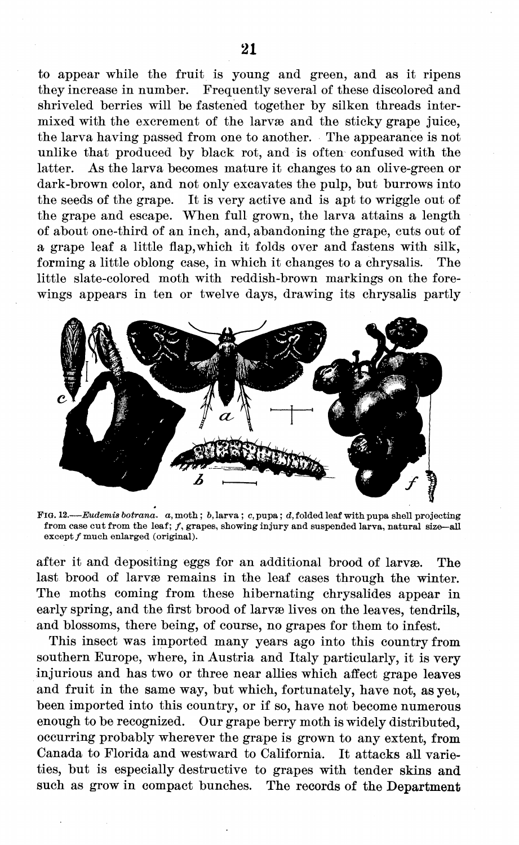to appear while the fruit is young and green, and as it ripens they increase in number. Frequently several of these discolored and shriveled berries will be fastened together by silken threads intermixed with the excrement of the larvae and the sticky grape juice, the larva having passed from one to another. The appearance is not unlike that produced by black rot, and is often confused with the latter. As the larva becomes mature it changes to an olive-green or dark-brown color, and not only excavates the pulp, but burrows into the seeds of the grape. It is very active and is apt to wriggle out of the grape and escape. When full grown, the larva attains a length of about one-third of an inch, and, abandoning the grape, cuts out of a grape leaf a little flap,which it folds over and fastens with silk, forming a little oblong case, in which it changes to a chrysalis. The little slate-colored moth with reddish-brown markings on the forewings appears in ten or twelve days, drawing its chrysalis partly



FIG. 12.—*Eudemis botrana. a,* moth ; *b,* larva ; *c,* pupa ; *d,* folded leaf with pupa shell projecting from case cut from the leaf; f, grapes, showing injury and suspended larva, natural size-all  $except f$  much enlarged (original).

after it and depositing eggs for an additional brood of larvae. The last brood of larvæ remains in the leaf cases through the winter. The moths coming from these hibernating chrysalides appear in early spring, and the first brood of larvæ lives on the leaves, tendrils, and blossoms, there being, of course, no grapes for them to infest.

This insect was imported many years ago into this country from southern Europe, where, in Austria and Italy particularly, it is very injurious and has two or three near allies which affect grape leaves and fruit in the same way, but which, fortunately, have not, as yet, been imported into this country, or if so, have not become numerous enough to be recognized. Our grape berry moth is widely distributed, occurring probably wherever the grape is grown to any extent, from Canada to Florida and westward to California. It attacks all varieties, but is especially destructive to grapes with tender skins and such as grow in compact bunches. The records **of the Department**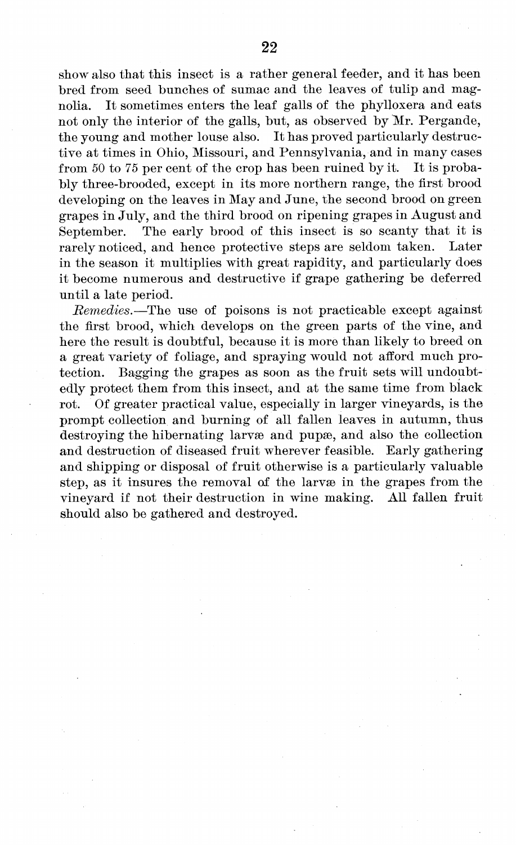show also that this insect is a rather general feeder, and it has been bred from seed bunches of sumac and the leaves of tulip and magnolia. It sometimes enters the leaf galls of the phylloxera and eats not only the interior of the galls, but, as observed by Mr. Pergande, the young and mother louse also. It has proved particularly destructive at times in Ohio, Missouri, and Pennsylvania, and in many cases from 50 to 75 per cent of the crop has been ruined by it. It is probably three-brooded, except in its more northern range, the first brood developing on the leaves in May and June, the second brood on green grapes in July, and the third brood on ripening grapes in August and September. The early brood of this insect is so scanty that it is rarely noticed and hence protective steps are seldom taken. Later rarely noticed, and hence protective steps are seldom taken. in the season it multiplies with great rapidity, and particularly does it become numerous and destructive if grape gathering be deferred until a late period.

*Remedies.*—The use of poisons is not practicable except against the first brood, which develops on the green parts of the vine, and here the result is doubtful, because it is more than likely to breed on a great variety of foliage, and spraying would not afford much protection. Bagging the grapes as soon as the fruit sets will undoubtedly protect them from this insect, and at the same time from black rot. Of greater practical value, especially in larger vineyards, is the prompt collection and burning of all fallen leaves in autumn, thus destroying the hibernating larvæ and pupæ, and also the collection and destruction of diseased fruit wherever feasible. Early gathering and shipping or disposal of fruit otherwise is a particularly valuable step, as it insures the removal of the larvæ in the grapes from the vineyard if not their destruction in wine making. All fallen fruit should also be gathered and destroyed.